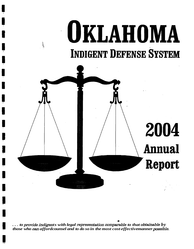

... to provide indigents with legal representation comparable to that obtainable by those who can affordcounsel and to do so in the most cost-effectivemanner possible.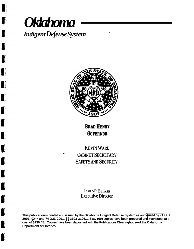

H

H

 $\blacksquare$ 

 $\blacksquare$ 

 $\blacksquare$ 

I

I

B

I

O

ſ

Î



#### **BRAD HENRY GOVERNOR**

**KEVIN WARD<br>
CABINET SECRETARY SAFETY AND SECURITY** 

> **JAMES D. BEDNAR Executive Director**

This publication is printed and issued by the Oklahoma Indigent Defense System as autherized by 74 O.S. **2001, §216 and 74 O.S. 2001,** §§ **3103-3106.1. Sixty (60) copies have been prepared an cost of \$1 30.45. Copies have been deposited with the Publications Clearinghouse of the Oklahoma Department of Libraries.**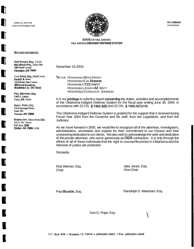*JAMES D. BWNAR EXECUTIVE DIRECTOR* 



**BRAD <b>HENRY** *GOVERNOR* 

#### **STATE OF OKLAHOMA OKLAHOMA INDIGENT DEFENSE SYSTEM**

#### **BOARD MEMBERS**

**ROD WIEMER, ESQ., CHAIR McCulloch Bldg., Suite 200 114 North Grand Okmulgee, ØK 74447** 

**JAKE JONES. ESQ.,VICE CHAIR**  - **Diskill& Jones 2350 Bank One Center 100 North Broadway Oklahoma City. OK 73 102** 

**PAUL BRUNTON, ESQ. 3507 S. Lewis Tulsa, OK 74105** 

DON G. POPE, ESQ. **2424 Springer Drive Suite 201 Norman. OK 73069** 

**RANDOLPH S. MEACHAM. ESQ. 525 S. 30" Street P.O. Box 1236 Clinton. OK 73601 -1 236** 

November 19,2004

TO THE HONORABLE BRAD HENRY HONORABLE CAL HOBSON **HONORABLE TODD HIETT** HONORABLE JOSEPH **M.** WATT HONORABLE CHARLES A. JOHNSON

It is our privilege to submit a report concerning the duties, activities and accomplishments of the Oklahoma lndigent Defense System for the fiscal year ending June 30, 2004, in accordance with 22 O.S. **5** 1355.3(B) and 22 O.S. § 1355.4(C)(14).

The Oklahoma lndigent Defense System is grateful for the support that it received during Fiscal Year 2004 from the Governor and his staff, from the Legislature, and from the Judiciary.

As we move forward in 2005, we would like to recognize all of the attorneys, investigators, administrators, secretaries and experts for their commitment to our mission and their unwavering dedication to our clients. We also wish to acknowledge the work and dedication of the private attorneys who serve generously as OlDS contractors. It is only through the efforts of all of these individuals that the right to counsel flourishes in Oklahoma and the interests of justice are protected.

Sincerely,

Rod Wiemer, Esq. **Chair** 

Jake Jones, Esq. Vice-Chair

Paul Brunton, Esq.

Randolph S. Meacham. Esq.

Don G. Pope, Esq.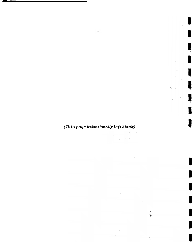#### $\begin{array}{l} \frac{1}{2} \left( \frac{1}{2} \left( \frac{1}{2} \right) \right) \left( \frac{1}{2} \right) \\ \frac{1}{2} \left( \frac{1}{2} \left( \frac{1}{2} \right) \right) \left( \frac{1}{2} \right) \left( \frac{1}{2} \right) \left( \frac{1}{2} \right) \left( \frac{1}{2} \right) \left( \frac{1}{2} \right) \left( \frac{1}{2} \right) \left( \frac{1}{2} \right) \left( \frac{1}{2} \right) \left( \frac{1}{2} \right) \left( \frac{1}{2} \right) \left($

 $\frac{\partial}{\partial t} \frac{\partial}{\partial t} \frac{\partial}{\partial x} = \frac{1}{2} \frac{\partial}{\partial x} \frac{\partial}{\partial x} \frac{\partial}{\partial x}$ 

 $\mathcal{O}(\mathcal{E}_{\text{max}})$  .

 $\begin{aligned} \frac{\partial^2}{\partial t^2} & = \frac{1}{2} \left( \begin{array}{cc} \frac{1}{2} & \frac{1}{2} \\ \frac{1}{2} & \frac{1}{2} \end{array} \right) \left( \begin{array}{cc} \frac{1}{2} & \frac{1}{2} \\ \frac{1}{2} & \frac{1}{2} \end{array} \right) \end{aligned}$ 

a<br>Para Ca

 $\begin{aligned} \frac{d}{dt} & = \frac{1}{2} \left( \frac{d}{dt} \right) \left( \frac{d}{dt} \right) \\ & = \frac{1}{2} \left( \frac{d}{dt} \right) \left( \frac{d}{dt} \right) \left( \frac{d}{dt} \right) \\ & = \frac{1}{2} \left( \frac{d}{dt} \right) \left( \frac{d}{dt} \right) \left( \frac{d}{dt} \right) \end{aligned}$ 

 $\frac{1}{\sqrt{2\pi}}\left(\frac{1}{\sqrt{2\pi}}\right)$  $\sim$   $_{\rm 10}$  .

#### (This page intentionally left blank)

 $\sim 10^{-11}$ 

 $\label{eq:2} \mathcal{L} = \mathcal{L} \mathcal{L}_{\text{max}} = \mathcal{L} \mathcal{L} \mathcal{L}_{\text{max}} = \mathcal{L} \mathcal{L}_{\text{max}}$ 

 $\frac{1}{\sqrt{2}}$ 

 $\sim 10^6$ 

 $\Delta \sim 10^4$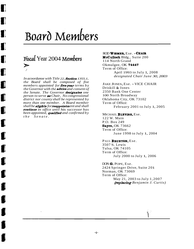## **Board Members**

## Fiscal Year 2004 Members

/

I

*In acoordanoe with Title 22, Seotion 1355.1, the Board shall be composed of five members appointed for five-year terms by the Governor with the advioe and consent of the Senate. The Governor desipates one person to serve 8s Chair, No congressional district nor county shall be represented by more than one member. A Board member shall be eligible for reappointment and shall oontinue in office until his successor has*  been appointed, **qualified** and confirmed by *the Senate.* 

#### ROD WIEMER, Ese. . CHAIR

McCulloch Bldg., Suite 200 114 North Grand Okmulgee, OK 74447 Term of Office: April 1993 to July 1, 2008 *designated Chair June 30, 2003* 

JAKE JONES, Ese. - VICE CHAIR Driskill & Jones 2350 Bank One Center 100 North Broadway Oklahoma City, OK 73102 Term of Office: February 2001 to July 1, 2005

MICHAEL BLEVINS, Ese.

122 W. Main P.O. Box 249 Sayre, OK 73662 Term of Office: June 1998 to July 1, 2004

PAUL BRUNTON, Ese.

3507 S. Lewis Tulsa, OK 74105 Term of Office: July 2000 to July 1, 2006

DON **G.** POPE, Ese. 2424 Springer Drive, Suite 201 Norman, OK 73069 Term of Office: May 21, 2003 to July 1,2007 *(mpIaoing Benjamin J. Curtis)*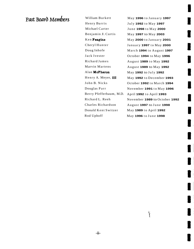#### Past Board Members

William Burkett Henry Burris Michael Carter Benjamin J. Curtis Ken Feagins Cheryl Hunter Doug Inhofe Jack Ivester Richard James Marvin Martens Alan McPheron Henry A. Meyer, III John B. Nicks Douglas Parr Richard L. Reeh Charles Richardson Donald Kent Switzer Rod Uphoff

Berry Pfefferbaum, M .D. April **1992** to April **1993**  May **1996** to January **1997**  July **1992** to May **1997**  June **1998** to May **2000**  May **1997** to May **2003**  May **2000** to January **2001**  January **1997** to May **2000**  March **1994** to August **1997**  October **1994** to May **1996**  August **1989** to May **1992**  August **1989** to May **1992**  May **1992** to July **1992**  May **1992** to December **1993**  October **1992** to March **1994**  November **1991** to May **1996**  November **1989** to October **1992**  August **1997** to June **1998**  May **1989** to April **1992**  May **1996** t o J u n e **1998** 

Ï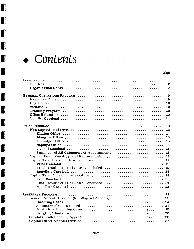• Contents

I

J

I

I

I

| Page                                                                                                                                                                                                                                                  |
|-------------------------------------------------------------------------------------------------------------------------------------------------------------------------------------------------------------------------------------------------------|
|                                                                                                                                                                                                                                                       |
| GENERAL OPERATIONS PROGRAM (and the contract of the contract of the set of the set of the set of the set of the set of the set of the set of the set of the set of the set of the set of the set of the set of the set of the<br>10<br>10<br>10<br>11 |
| 13<br>13<br>15<br>15<br>15<br>Summary of All-Categories of Appointments<br>16<br>Capital (Death Penalty) Trial Representation<br>18<br>19<br>19<br>Final Results of Trial Cases Concluded<br>19<br>20<br>20<br>20<br>21                               |
| 25<br>Capital (Death Penalty) Appeals $\ldots \ldots \ldots \ldots \ldots \ldots \ldots \ldots \ldots$<br>26                                                                                                                                          |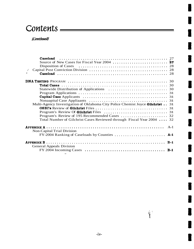#### Contents \_\_\_\_\_\_

#### (Continued)

| Caseload<br>Disposition of Cases (also contained a set of the contact of the contact of the contact of the contact of the contact of the contact of the contact of the contact of the contact of the contact of the contact of the contact |
|--------------------------------------------------------------------------------------------------------------------------------------------------------------------------------------------------------------------------------------------|
| Multi-Agency Investigation of Oklahoma City Police Chemist Joyce Gilchrist  31<br>Total Number of Gilchrist Cases Reviewed through Fiscal Year 2004  32                                                                                    |
| Non-Capital Trial Division<br><b>General Appeals Division</b>                                                                                                                                                                              |

ł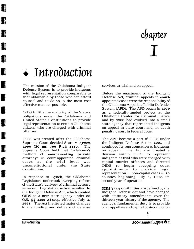# $\begin{array}{c}\n\text{chapter} \\
\mathbf{T}\n\end{array}$

## $\triangle$  Introduction

The mission of the Oklahoma Indigent Defense System is to provide indigents with legal representation comparable to that obtainable by those who can afford counsel and to do so in the most cost effective manner possible.

OIDS fulfills the majority of the State's obligations under the Oklahoma and United States Constitutions to provide legal representation to certain Oklahoma citizens who are charged with criminal offenses.

OIDS was created after the Oklahoma Supreme Court decided State v.  $L$ ynch, **1990** OK **82, 796** P.2d **1150.** The Supreme Court held that Oklahoma's method of compensating private attorneys in court-appointed criminal cases at the trial level was unconstitutional under the State Constitution.

In response to Lynch, the Oklahoma Legislature undertook sweeping reform of the State's delivery of criminal defense services. Legislative action resulted in the Indigent Defense Act, which created OIDS as a new state agency under **22**  O.S. **55 1355** et seq., effective July **1, 1991.** The Act instituted major changes in the funding and delivery of defense

services at trial and on appeal.

Before the enactment of the Indigent Defense Act, criminal appeals in **court**appointed cases were the responsibility of the Oklahoma Appellate Publio Defender System (APD). The APD began in **1979**  as a federally-funded project at the Oklahoma Center for Criminal Justice and by **1988** had evolved into a small state agency that represented indigents on appeal in state court and, in death penalty cases, in federal court.

The APD became a part of OIDS under the Indigent Defense Aot in **1991** and continued its representation of indigents<br>on appeal. The Act also created a The Act also created a division within OIDS to represent indigents at trial who were charged with capital murder offenses and directed<br>OIDS to begin aocepting court to begin aocepting court<br>tments to provide legal appointments to provide legal representation in non-capital cases in **75**  counties beginning July **1, 1992,** its second year of operation.

OIDS's responsibilities are defined by the Indigent Defense Act and have changed with statutory amendments over the thirteen-year history of the agency. The agency's fundamental duty is to provide trial, appellate and capital post-conviction

**Introduction**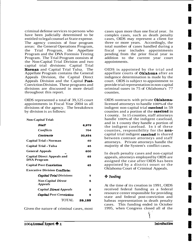criminal defense services to persons who have been judicially determined to be entitled to legal counsel at State expense. The agency consists of four program areas: the General Operations Program, the Trial Program, the Appellate Program and the DNA Forensio Testing Program. The Trial Program oonsists of the Non-Capital Trial Division and two capital trial divisions: Capital Trial Norman and Capital Trial Tulsa. The Appellate Program contains the General Appeals Division, the Capital Direct Appeals Division and the Capital Post-Conviction Division. These programs and divisions are discussed in more detail throughout this report.

OIDS represented a total of 39,125 court appointments in Fiscal Year 2004 in all divisions of the agency. The breakdown by division is as follows:

**Non-Capital Trial:** 

| Staff                                                   | 6,979  |
|---------------------------------------------------------|--------|
| <b>Conflicts</b>                                        | 704    |
| Contracts                                               | 30,624 |
| <b>Capital Trial - Norman</b>                           | 40     |
| <b>Capital Trial - Tulsa</b>                            | $-45$  |
| <b>General Appeals</b>                                  | -600   |
| <b>Capital Direct Appeals and</b><br><b>DNA Program</b> | 65     |
| <b>Capital Post Conviction</b>                          | 45     |
| <b>Executive Division Conflicts:</b>                    |        |
| <b>Capital Trial Divisions</b>                          | 7      |
| <b>Non-Capital Direot</b><br><i><b>Appeals</b></i>      | 5      |
| Capital <b>Direct</b> Appeals                           | 2      |
| <b>Capital Post Conviction</b>                          | 9      |
| TOTAL                                                   | 39.125 |

Given the nature of criminal cases, most

cases span more than one fiscal year. In complex cases, such as death penalty cases, OIDS may represent a client for three or more years. Accordingly, the total number of cases handled during a fiscal year includes appointments pending from the prior fiscal year in addition to the current year court appointments.

OIDS is appointed by the trial and appellate courts of Oklahoma after an indigence determination is made by the court. OIDS is subject to appointment to provide trial representation in non-capital oriminal oases in 75 of Oklahoma's 77 counties.

OIDS oontracts with private Oklahomalicensed attorneys to handle 100% of the indigent non-capital trial **caseload** in 59 counties and a portion of the caseload in 1 county. In 15 counties, staff attorneys handle 100% of the indigent caseload, and in 1 county they handle a portion of the indigent caseload. In 1 of these counties, responsibility for the **non**capital trial indigent **caseload** is shared between contraot attorneys and staff attorneys. Private attorneys handle the majority of the System's conflict cases.

In death penalty cases and non-capital appeals, attorneys employed by OIDS are assigned the case after OIDS has been appointed by a district oourt or the Oklahoma Court of Criminal Appeals.

#### $\mathbf{\hat{v}}$  Funding

At the time of its creation in 1991, OIDS received federal funding as a federal resource center responsible for providing state and federal post-conviction and habeas representation in death penalty cases. This funding ended in October 1995, when Congress closed all of the

2004 Annual Report 22

**Introduction** 

 $\frac{\lambda_1}{4}$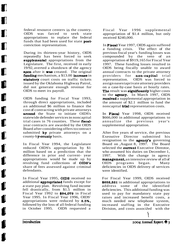federal resource centers **in** the country. OIDS was farced to seek state appropriations to replace the federal funds that had been used for state postconviction representation.

During its thirteen-year history, OIDS repeatedly has been forced to seek supplemental appropriations from the Legislature. The first, received in early 19/92, averted a shutdown of the agency spon after it was created. The original fpnding mechanism, a \$13.00 increase in statutory court costs on traffic tickets issued by the Oklahoma Highway Patrol, did not generate enough revenue for OIDS to meet its payroll.

OIDS funding for Fiscal Year 1993, through direct appropriations, included an additional \$6 million to finance the cost of contracting with private attorneys around the State to initiate OIDS's statewide defender services in noncapital trial cases in 76 counties. These fiscalyear contracts are awarded by the OIDS Board after considering offers to contract submitted **by** private attorneys on a county-by-county basis.

In Fiscal Year 1994, the Legislature reduced OIDS's appropriation by \$1 million based on a prediction that the difference in prior and current- year appropriations would be made up by revolving fund collections of OIDS's share of fees assessed against criminal defendants.

In Fiscal Year 1995, **OIDS** received no additional **appropriated** funds except for a state pay plan. Revolving fund income fell drastically, from \$1.5 million in Fiscal Year 1992 to \$94,079 in Fiscal Year 1995. In Fiscal Year 1996, OIDS' appropriations were reduced by 2.5%, followed by the loss of all federal funding in October 1995. OIDS requested a

Fiscal Year 1996 supplemental appropriation of \$1.4 million, but only received \$240,000.

In Fiscal Year 1997, OIDS again suffered a funding crisis. The effect of the previous fiscal year's funding losses was compounded by the veto of an appropriation of \$9 19,165 for Fiscal Year 1997. These funding losses resulted in OIDS being fiscally unable to award annual contracts to the private attorney providers for **non-capital** trial representation. OIDS was forced to assign oases taprivate attorney providers on a case-by-case basis at hourly rates. The result was significantly higher costs to the **agency.** In March 1997, OIDS **received** a supplemental appropriation in the amount of \$2.1 million to fund the noncapital **trial** representation costs.

In **Fiscal** Year 1998, OIDS received \$666,000 in additional appropriations to annualize the previous year's supplemental appropriation.

After five years of service, the previous Exeoutive Director submitted his resignation to the **agency's** governing Board on ,August 8, 1997. The Board selected the **current** Executive Direotor, who assumed his duties on December 1, 1997. With the change in agency management, an intensive review of all of OIDS programs began. Many deficiencies in OIDS delivery of services were identified.

For Fiscal Year 1999, OIDS received \$652,521 in additional appropriations to address some of the identified deficiencies. This additional funding was used to pay for mandatory state pay raises and increased benefit costs, a much needed new telephone system, increased staffing in the Executive Division, and costs associled with the

**Introduction**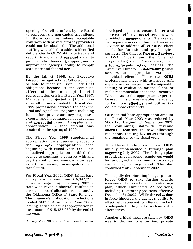opening of satellite offices by the Board to represent the non-capital trial clients in those counties where acceptable contracts with private attorney providers could not be obtained. The additional staffing was added to address identified deficiencies in OIDS' ability to track and report financial and **caseload** data, to provide data **processing** support, and to improve the agency's ability to comply with state and federal law.

By the fall of 1998, the Executive Director recognized that OIDS would not be able to meet its Fiscal Year 1999 obligations because of the continued effect of the non-capital trial representation crisis in Fiscal Year 1997. Management projected a \$1.3 million shortfall in funds needed for Fiscal Year 1999 professional services for both the Trial and Appellate Programs, including funds for private-attorney expenses, experts, and investigators in both capital and **non-capital** cases. A supplemental appropriation in that amount was obtained in the spring of 1999.

The Fiscal Year 1999 supplemental appropriation was subsequently added to the agency's appropriation base beginning with Fisoal Year 2000. This annualized appropriation enabled the agency to continue to contract with and pay its conflict and overload attorneys, expert witnesses, investigators and translators.

For Fiscal Year 2002, OIDS' initial base appropriation amount was \$16,042,393. However, beginning in January 2002, a state-wide revenue shortfall resulted in across-the-board allocation reductions by the Oklahoma Office of State Finance. The agency's allocation reductions totaled \$607,354 in Fiscal Year 2002, leaving it with an actual appropriation in the amount of \$15,435,039 by the end of the year.

During May 2002, the Executive Director

developed a plan to ensure better and more cost-effective **expert** services were provided to **agency** clients. 'He created two separate **areas** within the Executive Division to address all of OIDS' client needs for forensic and psychological services. The Chief of Forensic Services, a DNA Expert, and the Chief of Psychological Services, an attorney/psychologist, assists the Executive Direotor in **determining** what services are appropriate **for** each appropriate **for** eaoh individual client. These two **OIDS** professionals meet with attorneys and experts, and either perform the requested testing or evaluation For the client, or make recommendations to the Exeoutive Director as to the appropriate expert to be used. This process enables the agency to be more **effective** and utilize tax dollars more efficiently.

OIDS' initial base appropriation amount for Fiscal Year 2003 was reduced by \$802,120. Beginning in September 2002, the continuing statewide revenue shortfall resulted in new allocation reductions, totaling \$1,196,361 through the remainder of the fiscal year.

To address funding reductions, OIDS initially implemented a furlough plan beginning July 2002. The furlough plan provided that all agency employees **would** be furloughed a maximum of two days without pay per **pay** period. The plan continued **until** September 2002.

The rapidly deteriorating budget picture forced OIDS to take further drastio measures. It adopted a reduction-in-force plan, which eliminated 27 positions, including 10 attorney positions, effective December 31,2002. While the reductionin-force hindered the agency's ability to effectively represent its clients, the lack of adequate funding left it with no viable alternatives.

Another critical measure taken by OIDS was to decline to enter into private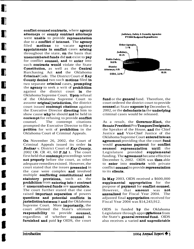conflict counsel contracts, where agency attorneys or county contract attorneys were unable to provide representation due to a conflict of interest. The agency filed **motions** to vacate **agency** appointments in conflict cases arising throughout the state, on the basis that unencumbered funds did not exist to pay for conflict counsel, and to enter into such contracts would violate the State Cpnstitution, as well as the Central Rurchasing Act and the Oklahoma **Criminal Code.** The District Court of **Kay** County denied two such motions filed in two separate **criminal** cases, **prompting** the agency to seek a writ of prohibition against the district court in the Oklahoma Supreme Court. Upon refusal of the Oklahoma Supreme Court to assume **original jurisdiction**, the district court issued contempt citations against the Executive Director directing him to show cause **why** he should **not** be held in contempt for refusing to provide conflict counsel. The contempt citations prompted the Executive Director to file a petition for writ of prohibition in the Oklahoma Court of Criminal Appeals.

On November 26, 2002, the Court of Criminal Appeals issued its order in Bednar v. District Court of Kay County, 2002 OK CR 41, 60 P.3d 1. The court first held that **contempt** proceedings were not properly before the court, as other adequate remedies existed. However, the court stated that the issues **presented** in the case were complex **and** involved multiple conflicting constitutional and statutory provisions, such as the prohibition from entering into a contract if unencumbered funds are unavailable. The court further stated that the case raised **important separation** of powers questions and potential conflicts in jurisdiction between it and the Oklahoma Supreme Court. More importantly, the court affirmed the State's ultimate responsibility to provide counsel, regardless of whether counsel is furnished and paid by OIDS, the court



fund or the general fund. Therefore, the court ordered the district court to provide counsel at State expense by December 6, 2002, or the defendants in the underlying criminal cases would be released.

As a result, the Governor-Elect, the Senate President Pro Tempore Designate, the Speaker of the House, and the Chief Justice **and** Vice-Chief Justice of the Oklahoma Supreme Court entered into an **agreement** providing that the court **fund** would guarantee payment for conflict counsel representation until the Legislature provided supplemental funding. The **agreement** became effective December 5, 2002. OIDS was then able to enter into contracts with private conflict counsel to provide representation to its clients.

In May 2003, OIDS received a \$600,000 supplemental appropriation for the purpose of payment for conflict counsel. However, that amount was not annualized for Fiscal Year 2004. The adjusted final **appropriation** received for Fiscal Year 2004 was \$14,243,912.

OIDS is funded by the Oklahoma Legislature through appropriations from the State's general revenue fund. OIDS also receives a varied and unpredictable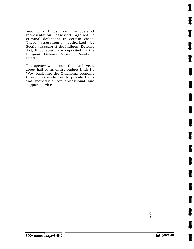amount of funds from the costs of representation assessed against a criminal defendant in certain cases. These assessments, authorized by Section 1355.14 of the Indigent Defense Act, if collected, are deposited in the Indigent Defense System Revolving Fund.

The agency would note that each year, about half of its entire budget finds its Way back into the Oklahoma economy through expenditures to private firms and individuals for professional and support services.

Ý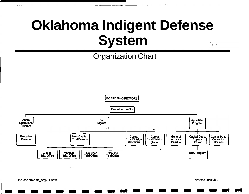### **Oklahoma Indigent Defense System**  ستر.

Organization Chart



**H:\presenta\oids-org-04.shw Revised 08/05/03** 

 $\searrow$   $\Box$ 

 $\mathbb{R}^{k \times k}$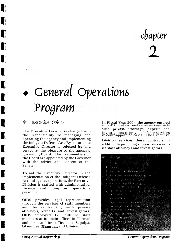# $\frac{1}{2}$

## General Operations Program

 $\mathcal{L} \rightarrow \mathbb{C}$ 

operating the agency and implementing<br>the Indigent Defense Act. By statute, the detailed to providing support services to the Indigent Defense Act. By statute, the addition to providing support services to Executive Director is selected **by** and its staff attorneys and investigators. serves at the pleasure of the agency's governing Board. The five members on the Board are appointed by the Governor with the advice and consent of the Senate.

To aid the Executive Director in the implementation of the Indigent Defense Act and agency operations, the Executive Division is staffed with administrative, finance and computer operations personnel.

OIDS provides legal representation through the services of staff members and by contracting with private attorneys, - experts and investigators. OIDS employed 121 full-time staff members at its main offices in Norman and its satellite offices in Sapulpa, Okmulgee, **Mangum**, and Clinton.

**\* Executive Division 10 In Fiscal Year 2004**, the agency entered into 470 professional services contracts The Executive Division is charged with **investigators to provide defense services**<br>the responsibility of managing and in court-appointed cases. The Executive

Statistician Distinct  $33.31.$ DI GALER UN STROCK I STATISTIC **MACK GREENBERRY** SCONFEIN DIGITIES IN METALLICITY IN THE RESERVE  $\zeta = 4.6$  and all  $\theta$  is  $3.50$  and  $\zeta$  $\zeta = 480$  Ar Spanish of the term in  $W$  separate  $1.8\%$ Profile procedure to a large of African can this of greammen bash da 23 M  $\mathcal{L}(\mathcal{H})$  and also be found in  $\mathcal{L}(\mathcal{H})$ Malay and de Caracteristics and Editor change of an editor of compared that Jacquet (in a vice committed of a vice)

General Operations Program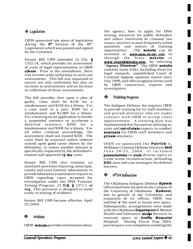#### Legislation

OIDS sponsored one piece of legislation during the  $2^{st}$  Session of the 49" Legislature which was passed and signed by the Governor.

Senate Bill 1399 amended 22 O.S. **9**  1355.14, which provides for assessment of costs of legal representation to OIDS clients. Prior to the amendment, there was no state-wide uniformity in such cost assessments. This bill was requested to ensure not only uniformity but also an increase in assessments and an increase in collections of those assessments.

The bill provides that upon a plea of guilty, costs shall be \$150 for a misdemeanor and \$250 for a felony. For a case tried to a jury, \$500 for a misdemeanor and \$1,000 for a felony. For a hearing on an application to revoke a suspended sentence or accelerate a deferred sentence, \$200 for a misdemeanor and \$300 for a felony. For all other criminal proceedings, the assessment shall not exoeed \$250. The costs shall be assessed unless ordered waived upon good cause shown by the defendant, or unless another amount is specifically requested by the defendant's counsel and approved by the court.

Senate Bill 1399 also contains an unrelated provision requiring municipal, county and state forensic laboratories to provide laboratory examination reports to OIDS regarding cases accepted for investigation under the DNA Forensic Testing Program, 22 O.S, **9** 1371.1 *et seq.* This provision is designed to avoid costly re-testing of evidence.

Senate Bill 1399 became effective April 19,2004.

#### ❖ Website

OIDS' website provides information about

the agency, how to apply for DNA testing, resources for public defenders and others interested in criminal law issues, answers to most frequently asked questions and notices of training opportunities. The website can be accessed at **www.state.ok.usl- oids** or through the State website at www.youroklahoma.com, by selecting "Agency Directory." The OIDS website contains many links, including those for legal researoh, unpublished Court of Criminal Appeals opinions issued since July 1999, and official agenoy forms used by OIDS **contractors**, experts and investigators.

#### :\* *Training Program*

The Indigent Defense Act requires OIDS to provide training for its staff members and private attorneys who are under contract with OIDS to accept court appointments. A training plan was implemented that focused on utilizing instate and **out-of-state** experts to conduct seminars for OIDS staff members and private attorneys.

OIDS co-sponsored the Patrick A. Williams Criminal Defense Institute held June 24-25, 2004. It included presentatiohs on such diverse topics as crime scene reconstruction, defending DUI cases and case strategies for defense lawyers.

#### \*:\* **office** *~efooation*

The Oklahoma Indigent Defense System offices had been located on the campus of the University of Oklahoma. However, due to growth of the University and expansion of its offices, OIDS was notified of the need to locate new space. Subsequently, arrangements were made with the Oklahoma Department of Mental Health and Substance Abuse Services to renovate space at Griffin Memorial Hospital. During Fiscal Year 2003, partial space was completed, enabling the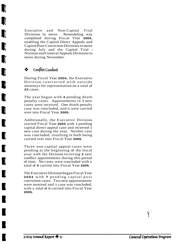Executive and Non-Capital Trial<br>Divisions to move. Remodeling was Divisions 'to move. completed during Fiscal Year **2004,**  enabling the Capital Direct Appeals and<br>Capital Post-Conviction Divisions to move during July and the Capital Trial - Norman and General Appeals Divisions to move during November.

#### $\triangle$  Conflict Caseload

During Fiscal Year **2004,** the Executive Division contracted with outside attorneys for representation on a total of **23** cases.

The year began with **4** pending death penalty cases. Appointments in 3 new cases were received. One death penalty case was concluded, and 6 were carried over into Fiscal Year **2005.** 

Additionally, the Executive Division started Fiscal Year **2004** with 1 pending capital direct appeal case and received 1 new case during the year. Neither case was concluded, resulting in both being carried over into Fiscal Year **2005.** 

Three non-capital appeal cases were pending at the beginning of the fiscal year with the Division receiving **2** new conflict appointments during this period of time. No cases were concluded with a total of **5** carried into Fiscal Year **2005.** 

The Executive Division began Fiscal Year **2004** with **7** pending capital post conviction cases. Two new appointments were received and 1 case was concluded, with a total of 8 carried into Fiscal Year **2005.**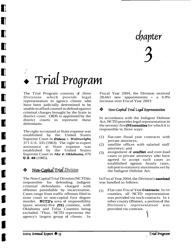# chapter<br>2



The Trial Program consists of three Divisions which provide legal representation to agency clients who have been judicially determined to be unable to afford counsel to defend against criminal charges brought by the State in district court. OIDS is appointed by the district courts to represent these defendants.

The right to counsel at State expense was established by the United States Supreme Court in *Gideon* v. *Wainwright,*  371 U.S. 335 (1963). The right to expert assistance at State expense was established by the United States Supreme Court in *Ake* **v;** *Oklahoma,* 470  $U.S. 68$  (1985).

#### **\*** *Non-Capital Trial Division*

The Non-Capital Trial Division (NCTD) is responsible for defending indigent criminal defendants charged with offenses punishable by incarceration. Cases range from traffic offenses filed in state court to non-capital first degree murder. **NCTD's** area of responsibility spans seventy-five (75) counties, with Oklahoma and Tulsa Counties being excluded. 'Thus, NCTD represents the agency's largest group of clients. In

Fiscal Year 2004, the Division received 28,661 new 'appointments - a 6.9% increase over Fiscal Year 2003.

#### Non-Capital Trial Legal Representation ❖

In accordance with the Indigent Defense Act, NCTD provides legal representation in the seventy-five $(75)$  counties for which it is responsible in three ways:

- (1) flat-rate fisoal year contracts with private attorneys;
- (2) satellite offices with salaried staff attorneys; and
- $(3)$  assignment of **conflict** and over-load cases to private attorneys who have agreed to accept such cases at established agenoy hourly rates, sub jeot to statutory maximums set by the Indigent Defense Act.

In Fiscal Year 2004, the Division's **caseload** was handled as follows:

(1) Flat-rate Fiscal Year **Contracts:** In 59 counties, all NCTD representation was provided via such contracts. In 1 other county (Blaine), a portion of the Division's representation was provided via contraot.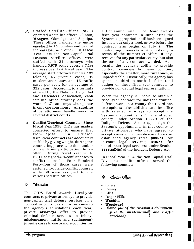- (2) Staffed Satellite Offices: NCTD operated 4 satellite offices: Clinton, **Mangum,** Okmulgee and Sapulpa. These offices handled the entire caseload in 15 counties and part of the caseload in 1 other. In Fiscal Year 2004 the Non-Capital Trial Division satellite offices were staffed with 21 attorneys who handled 6,979 aotive cases, a 7.1%<br>increase over last fiscal year. The average staff attorney handles 185 felonies, 46 juvenile cases, 85 misdemeanor cases and 16 traffic cases per year, for an average of 332 cases. According to a formula utilized by the National Legal Aid and Defenders Association, eaoh satellite office attorney does the work of 1.71 attorneys who operate in only one courthouse. All satellite office attorneys handle work in several district courts.
- (3) Conflict/Overload Counsel: Since Fiscal Year 1998, OIDS has made a concerted effort to ensure that Non-Capital Trial Division fiscal-year contracts are adequately staffed by giving weight, during the contracting process, to the number of law firms participating in an offer. During Fiscal Year 2004, NCTD assigned 494 conflict cases to conflict counsel. Four Hundred Forty-four of those cases were assigned to outside conflict counsel, while 60 were assigned to the various satellite offices.

#### **Discussion**

The OIDS Board awards fiscal-year contracts to private attorneys to provide non-capital trial defense services on a county-by-county basis. In response to the agency's solicitations each year, private **attorneys** offer to provide criminal defense services in felony, misdemeanor, traffic and (delinquent) juvenile cases in one or more counties for

a flat annual rate. The Board awards fiscal-year contracts in June, after the System's appropriationbill has been signed into law but only a week or two before the contract term begins on July 1. The contracting prooess is volatile, not only in terms of the number of offers, if any, received for any particular county, but also the oost of any contract awarded. As a result, the agency's ability to provide contract coverage in many counties, especially the smaller, more rural ones, is unpredictable. Historically, the agency has spent one-third to one-half of its total budget on these fisoal-year contracts to provide non-capital legal representation.

When the agency is unable to obtain a fisoal-year contraot for indigent criminal defense work in a county the Board has two options: (1) establish a satellite office with salaried attorneys to accept the System's appointments in the affeoted county under Section 1355.9 of the Indigent Defense Aot or **(2)** assign the System's appointments in that county to private attorneys who have agreed to accept cases on a case-by-case basis at established agency rates (\$60/hr. for in-court legal services; **\$40/hr.** for out-of-oourt legal services) under Seotion 1355.8(D)(6) of the Indigent Defense Act.

In Fiscal Year 2004, the Non-Capital Trial Division's satellite offices served the following counties :

#### Clinton Office

- Custer
- Dewey
- Ellis
- Roger **Mills**
- Washita
- Woodward
- Blaine *(a11 of the Division's delinquent ju* **venile**, misdemeano<sup>n</sup>, and traffic *caseload)* **7**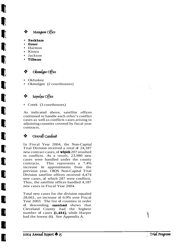#### Mangum Office ❖

- Beckham
- Greer
- Harmon
- Kiowa
- Jackson
- Tillman

Okmulgee Office ❖

- Okfuskee
- Okmulgee (2 courthouses)

#### Sapulpa Office ❖

Creek (3 courthouses)

As indicated above, satellite offices continued to handle each other's conflict cases as well as conflicts cases arising in adjoining counties covered by fiscal year contracts.

#### ❖ Overall Caselogo

In Fiscal Year 2004, the Non-Capital Trial Division received a total of 24,187 new contract cases, of which 207 resulted in conflicts. As a result, 23,980 new cases were handled under the county contracts. This represents a 7.4% increase in appointments from the previous year. OIDS Non-Capital Trial Division satellite offices received 4,474 new cases, of which 287 were conflicts. Thus, the satellite offices handled 4,187 new cases in Fiscal Year 2004.

Total new cases for the division equaled 28,661, an increase of 6.9% over Fiscal Year 2003. The list of counties in order of descending **caseload** shows that Cleveland County had the highest number of cases (1,454), while Harper had the lowest (6). See Appendix A.

 $\ddot{\hat{\gamma}}$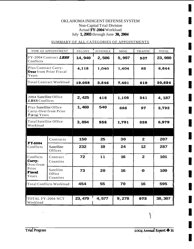#### OKLAHOMA INDIGENT DEFENSE SYSTEM Non-Capital Trial Division Actual **FY-2004** Workload July **1,2003** through June **30,2004**

#### SUMMARY OF ALL CATEGORIES OF APPOINTMENTS

|                                                                | TYPE OF APPOINTMENT             | <b>FELONY</b> | <b>JUVENILE</b> | MISD. | <b>TRAFFIC</b> | <b>TOTAL</b> |
|----------------------------------------------------------------|---------------------------------|---------------|-----------------|-------|----------------|--------------|
| FY-2004 Contract LESS<br>Conflicts                             |                                 | 14,940        | 2,506           | 5,997 | 537            | 23,980       |
| Plus Contract Carry-<br>Over from Prior Fiscal<br>Years        |                                 | 4,118         | 1,040           | 1,404 | 82             | 6,644        |
|                                                                | <b>Total Contract Workload</b>  | 19,058        | 3,546           | 7,401 | 619            | 30,624       |
|                                                                |                                 |               |                 |       |                |              |
| 2004 Satellite Office<br>LBSS Conflicts                        |                                 | 2,425         | 416             | 1,105 | 241            | 4,187        |
| Plus Satellite Office<br>Carry-Over from Prior<br>Fiscal Years |                                 | 1,469         | 540             | 686   | 97             | 2,792        |
| Total Satellite Office<br>Workload                             |                                 | 3,894         | 956             | 1,791 | 338            | 6,979        |
|                                                                |                                 |               |                 |       |                |              |
| <b>FY-2004</b>                                                 | Contracts                       | 150           | 25              | 30    | $\overline{2}$ | $-207$       |
| Conflicts                                                      | Satellite<br>Offices            | 232           | 19              | 24    | 12             | 287          |
| Conflicts<br>Carry-<br>Over from                               | Contract<br>Counties            | 72            | 11              | 16    | $\overline{2}$ | 101          |
| Prior<br><b>Fiscal</b><br>Years                                | Satellite<br>Office<br>Counties | 73            | 20              | 16    | O              | 109          |
| <b>Total Conflicts Workload</b>                                |                                 | 454           | 55              | 70    | 16             | 595          |
|                                                                |                                 |               |                 |       |                |              |
| TOTAL FY-2004 NCT<br>Workload                                  |                                 | 23,479        | 4,577           | 9,278 | 973            | 38,307       |

l,

*2004 Annual Report* **216** 

 $\frac{1}{2}$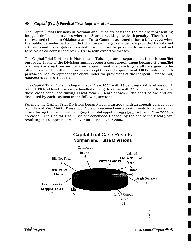#### Capital (Death Penalty) Trial Representation. ❖

The Capital Trial Divisions in Norman and Tulsa are assigned the task of representing indigent defendants in cases where the State is seeking the death penalty. They further represented clients in Oklahoma and Tulsa Counties assigned prior to May, **2003** when. the public defender had a conflict of interest. Legal services are provided by salaried attorneys and investigators, assisted in some cases by private attorneys under **contract** to serve as co-counsel and by **contracts** with expert witnesses.

The Capital Trial Divisions in Norman and Tulsa operate as separate law firms for **conflict** purposes. If one of the Divisions **cannot** accept a court appointment because of a **conflict** of interest arising from another court appointment, the case is generally assigned to the other Division. If neither Division can accept the court appointment, OIDS contraots with p'rivate counsel to represent the client under the provisions of the Indigent Defense Aot, Seotions **1355.7** & **1388.13.** 

The Capital Trial Divisions began Fiscal Year **2004** with **38** pending trial level oases. A total of **70** trial level cases were handled during this time with **38** completed. Results of these cases conoluded during Fiscal Year **2004** are shown in the chart below, and are discussed by each Division in the following sections.

Further, the Capital Trial Divisions began Fiscal Year **2004** with **11** appeals carried over from Fiscal Year **2003.** These two Divisions received new appointments for appeals in **4**  cases during the fisoal year, bringing the total appellate caseload for Fisoal Year **2004** to **15** cases. The Capital Trial Divisions concluded **1** appeal by the end of the fiscal year, resulting in **14** appeals carried over into Fiscal Year **2005.** 

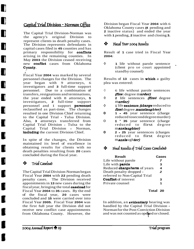#### **Capital Trial Division - Norman Office**

The Capital Trial Division-Norman was the agency's original Division to represent clients in death penalty cases. The Division represents defendants in capital cases filed in **45** counties and has primary responsibility for conflicts arising in the remaining counties. In May **2003** the Division ceased receiving new confliot cases from Oklahoma County.

**I**  Fiscal Year **2004** was marked by several personnel changes for the Division. The year began with 9 attorneys, 6 investigators and **3** full-time support personnel. Due to a combination of transfers, resignations and terminations, the year ended with 8 attorneys, **5**  investigators, **2** full-time support personnel and 1 support **personnel** reclassified as part-time. The changes resulted in one Division Chief returning to the Capital Trial - Tulsa Division. Also, **3** attorneys transferred from Capital Trial Division - Tulsa to the Capital Trial Division - Norman, including the current Division Chief.

In spite of the changes, the Division maintained its level of excellence in obtaining results for clients with no death penalties resulting from **20** cases concluded during the fiscal year.

#### $\bullet$  Trial Caseload

The Capital Trial Division-Norman began Fiscal Year **2004** with **22** pending death penalty cases. The Division received appointments in **13** new cases during the fiscal year, bringing the total caseload for Fiscal Year **2004** to **35** cases. By the end of the fiscal year, **20** cases were concluded and **15** were carried over into Fiscal Year **2005.** Fiscal Year **2004** was the first full year the Division did not receive new conflict case appointments from Oklahoma County. However, the

Division began Fiscal Year **2004** with 6 Oklahoma County cases **(4** pending and **2** inactive status) and ended the year with **1** pending, **2** inactive and closing **3.** 

#### $\cdot$  Fiscal **Year** 2004 Results

Result of **1** case tried in Fiscal Year **2004:** 

 $\Diamond$  **1** life without parole sentence (client pro se court appointed standby counsel)

Results of **13** cases in whioh a guilty plea was entered:

- **0** 6 life without parole sentences (first degree murder)
- **0 2** life sentences (first degree m urder)
- $\Diamond$  **1** life **sentence** (charge reduced to first degree manslaughter)
- **0 1 45** year sentence (charge reduced to second degree murder)
- 0 **1 35** year sentence (charge reduced to first degree manslaughter)
- **0 2 25** year sentences (charges reduced to first degree manslaughter)

Final Results of Trial Cases Concluded ❖

| <b>Result</b>                       | Cases        |
|-------------------------------------|--------------|
| Life without parole                 |              |
| Life with <b>parole</b>             | 3            |
| Reduced <b>charge/term</b> of years | 4            |
| Death penalty dropped $\cdot$       | $\mathbf{z}$ |
| referred to Non-Capital Trial       |              |
| <b>Conflict</b> of interest         | з            |
| Private counsel                     | 1            |

**Total 20** 

In addition, an **evidentiary** hearing was handled by the Capital Trial Division - Norman for the Post Conviction Division and was not counted as opened or closed.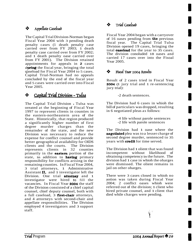#### Appellate Caseload ❖

The Capital Trial Division-Norman began Fiscal Year 2004 with 3 pending death penalty cases (1 death penalty case carried over from FY 2003; 1 death penalty case carried over from FY 2002; and 1 death penalty oase carried over from FY 2001). The Division retained appointments for appeals in **2** cases during the fiscal year, bringing the total qaseload for Fiscal Year 2004 to 5 cases. Capital Trial-Norman had no appeals concluded by the end of the fiscal year and 5 cases were carried over into Fiscal Year 2005.

#### Capital Trial Division - Tulsa ❖

The Capital Trial Division - Tulsa was oreated at the beginning of Fiscal Year 1997 to represent clients in counties in the eastern-northeastern area of the State. Historically, that region produced a significantly higher number of first degree murder charges than the remainder of the state, and the new Division was necessary to reduce the expense for conflict counsel and provide better geographical availability for OIDS clients and the courts. The Division represents clients in 32 counties primarily in the **eastern** portion of the state, in addition to **having** primary responsibility for conflicts arising in the remaining counties. In Fiscal Year 2004, 3 trial attorneys, 1 Administrative Assistant II, and 1 investigator left the Division. One trial **attorney** and 1 investigator were hired **ta** fill the vacancies. In Fiscal Year 2004 the staff of the Division consisted of a chief capital counsel, chief deputy counsel, both with a full caseload, 3 first-chair attorneys, and 4 attorneys with second-chair and appellate responsibilities. The Division employed 4 investigators and 3 support staff.

#### ❖ Trial Caselgad

Fiscal Year 2004 began with a carryover of 16 oases pending from **the** previous fiscal year. The Capital Trial Tulsa Division opened 19 cases, bringing the total **caseload** for the year to 35 cases. The division conoluded 18 oases and carried 17 cases over into the Fisoal Year 2005.

#### ❖ Fiscal Year 2004 Results

Result of 2 cases tried in Fiscal Year 2004 (1 jury trial and 1 re-sentencing jury trial):

-2 death sentences.

The Division had 6 cases in whioh the bill of particulars was dropped, resulting in 6 negotiated pleas as follows:

> -4 life without parole sentences -2 life with parole sentences

The Division had 1 oase where the negotiated plea was to a lesser charge of second degree murder, sentenced to 35 years with **credit** for time served.

The Division had 1 olient that was found incompetent without likelihood of obtaining competency in the future. The division had 1 case in whioh the oharges were dismissed. The olient remains in jail on other oharges.

There were 3 cases closed in whioh no aotion was taken during Fiscal Year 2004; 2 conflict oases whioh were referred out of the division; 1 client who hired private counsel, and 1 client that died while charges were pending.

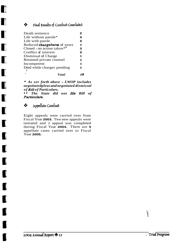#### Final Results of Caseload Concluded ❖

 $\frac{1}{2}$ 

**Marines** 

 $\frac{1}{2}$ 

医心包膜

| Death sentence                   | 2 |
|----------------------------------|---|
| Life without parole*             | 4 |
| Life with parole                 | 2 |
| Reduced charge/term of years     | 1 |
| Closed $\cdot$ no action taken** | з |
| Conflict of interest             | 2 |
| Dismissal of Charge              | 1 |
| Retained private counsel         | 1 |
| Incompetent                      | 1 |
| Died while charges pending       | 1 |
|                                  |   |
| <b>Total</b>                     |   |

\* *As set forth above* - **L** *WOP includes negotia tedpleas and negotiated dismissal of Bill of Particulars.*  \*\* *The State did not fite Bill of Particulars.* 

#### Appellate Caseload ❖

Eight appeals were carried over from Fiscal Year **2003.** Two new appeals were initiated and 1 appeal was completed during Fiscal Year **2004.** There are **9**  appellate cases carried over to Fiscal Year **2005.**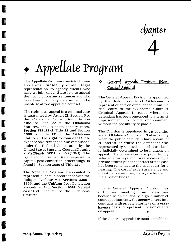## Appellate Program

The Appellate Program consists of three Divisions **which** provide legal representation to agency clients who have a right under State law to appeal their convictions and sentences and who have been judicially determined to be unable to afford appellate counsel.

The right to an appeal in a criminal case is guaranteed by Article II, Section 6 of the Oklahoma Constitution, Section **1051** of Title **22** of the Oklahoma Statutes, and, in death penalty cases, **Section 701.13 of Title 21 and Section 1089** of Title **22** of the Oklahoma Statutes. The right to counsel at State expense on direct appeal was established under the Federal Constitution by the United States Supreme Court in Doughs **v.** California, **372** U .S. 353 (1963). The right to counsel at State expense in capital post-conviction proceedings is found in Section **1089** of Title **22.** 

The Appellate Program is appointed to represent clients in accordance with the Indigent Defense Act, Sections **1355** - 1369, and the Uniform Post-Conviction Procedure Act, Section **1089** (capital cases) of Title 22 of the Oklahoma Statutes.

#### <u>General Appeals Division (Non-</u> Capital Appeals)

The General Appeals Division is appointed by the district courts of Oklahoma to represent clients on direct appeal from the trial court to the Oklahoma Court of Criminal Appeals in cases where the defendant has been sentenced to a term of imprisonment up to life imprisonment without the possibility of parole.

The Division is appointed in **75** counties and in Oklahoma County and Tulsa County when the public defenders have a conflict of interest or where the defendant was represented by retained counsel at trial and is judicially determined to be indigent on appeal. Legal services are provided by salaried attorneys and, in rare cases, by a private attorney under contract after a case has been remanded to the trial court for a hearing. The cost of expert assistance and investigative services, if any, are funded in the Division budget.

If the General Appeals Division has difficulties meeting court deadlines because of an unusually high number of court appointments, the agency enters into contracts with private attorneys on a **caseby-case** basis to represent Division clients on appeal.

If the General Appeals Division is unable to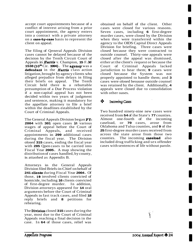accept court appointments because of a conflict of interest arising from a prior court appointment, the agency enters into a contract with a private attorney on a **case-by-case** basis to represent the client on appeal.

The filing of Qeneral Appeals Division cases cannot be delayed because of the decision by the Tenth Circuit Court of Appeals in **Harris** v. Champion, 15 F.3d **1538 (10<sup>th</sup> Cir. 1994).** The **agency** was a defendant in the Harris class action litigation, brought by agency clients who alleged prejudice from delays in filing<br>their briefs on appeal. The Tenth their briefs on appeal. Circuit held there is a rebuttable presumption of a Due Process violation if a non-capital appeal has not been decided within two years of judgment and sentence, making it mandatory for the appellate attorney to file a brief within the deadlines established by the Court of Criminal Appeals.

The General Appeals Division began  $\mathbf{F} \mathbf{Y}$ -**2004** with **301** open cases **in** various stages of appeal before the Court of Criminal Appeals, and received appointments in **299** additional cases during the fiscal year. The Division olosed **315** cases, ending the fiscal year with **285** Qpen cases to be carried into Fiscal Year **2005.** A map showing the distribution of cases handled, by county, is attaohed as Appendix B.

Attorneys in the General Appeals Division filed Briefs-in-C hief on behalf of **241** clienbs during Fiscal Year **2004.** Of those, **19** involved clients convicted of homicide, including **16** clients convicted of first-degree murder. In addition, Division attorneys appeared for **14** oral arguments before the Court of Criminal Appeals in fast track cases, and filed **18**  reply briefs and **8** petitions for rehearing.

The Divisian closed **3 15** cases during the year, most due to the Court of Criminal Appeals reaching a final decision in the case. In **64** of those cases, relief was

obtained on behalf of the client. Other cases were closed for various reasons. Seven cases, including **6** first-degree murder cases, were closed by the Division when they were transferred within the agency to the OIDS Capital Direct Appeals Division for briefing. Three cases were closed because they were contracted to outside counsel. Thirty-one appeals were closed after the appeal was dismissed, either at the client's request or because the Court of Criminal Appeals lacked jurisdiction to hear them; **9** cases were closed because the System was not properly appointed to handle them; and **3**  cases were olosed beoause outside counsel was retained by the client. Additionally, **4**  appeals were closed due to consolidation with other oases.

#### ❖ **Incoming Cases**

Two hundred ninety-nine new cases were received from **54** of the State's **77** counties. Almost one-fourth of the incoming caseload, or **70** cases, arose from Oklahoma and Tulsa counties, and **9** of the **25** first-degree murder cases received from across the state arose from those two counties. The incoming **caseload** also included drug trafficking and sex offender cases with sentences of life without parole.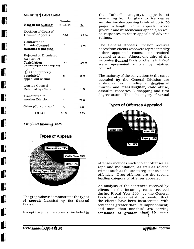#### Summary of Cases Closed

| Reason for Closing                                                                      | Number<br>of Cases | ۸о      |
|-----------------------------------------------------------------------------------------|--------------------|---------|
| Decision of Court of<br><b>Criminal Appeals</b>                                         | 258                | 82 %    |
| Cantracted to<br>Outside <b>Counsel</b><br>(Conflict & Backlog)                         | 3                  | 1 %     |
| Rejected or Dismissed<br>for Lack of<br>Jurisdiction<br>(Dismissed at Client's request) | 31                 | 10%     |
| y<br>QIDS not properly<br>appointed/<br>appeal out of time                              | 9                  | 3%      |
| <b>Outside Counsel</b><br><b>Retained by Client</b>                                     | З                  | 1%      |
| Transferred to<br>another Division                                                      | 7                  | 2%      |
| Other (Consolidated)                                                                    | 4                  | ï<br>1% |
| <b>TOTAL</b>                                                                            | 315                | 100%    |

**~nal~sis** of **Inemning Cases** 



of appeals handled by the General Division.

the "other" category), appeals of everything from burglary to first degree murder involve opening briefs of up to 50 pages in length. Other appeals involve juvenile and misdemeanor appeals, as well as responses to State appeals of adverse rulings.

The General Appeals Division receives cases from clients who were represented by either appointed counsel or retained counsel at trial. Almost one-third of the incoming General Division clients in FY-04 were represented at trial by retained counsel.

The majority of the convictions **in** the cases appealed **by** the General Division are violent crimes, including all degrees of murder and **manslaughter**, child abuse, , assaults, robberies, kidnapping and first degree arson. The subcategory of sexual



offenses includes such violent offenses as rape and molestation, as well as related crimes such as failure to register as a sex offender. Drug offenses are the second leading category of offenses appealed.

An analysis of the sentences received by clients in the incoming cases received during Fiscal Year 2004 by the General The graph above demonstrates the types Division reflects that almost one-fourth of **of appeals handled** by **the General** the clients have been incarcerated with sentences greater than life imprisonment; and more than one-third **are** serving Except for juvenile appeals (included in **sentences of greater than 20** years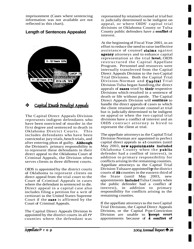imprisonment (Cases where sentencing information was not available are not reflected in this chart).

#### **Length of Sentences Appealed**



#### Capital (Death Penalty) Appeals

The Capital Direct Appeals Division represents indigent defendants who have been oonvicted of murder in the first degree and sentenced to death in Oklahoma District Courts. This includes defendants who have been convicted at jury trials, bench trials, and after entering pleas of guilty. **Although** the Division's primary responsibility is to represent these defendants in their direct appeal to the Oklahoma Court of Criminal Appeals, the Division often serves clients in three different courts.

OIDS is appointed by the district courts of Oklahoma to represent clients on direct appeal from the trial court to the Court of Criminal Appeals in cases where the defendant is sentenced to die. Direct appeal in a capital case also includes filing a petition for a writ of certiorari in the United States Supreme Court if the case is affirmed by the Court of Criminal Appeals.

The Capital Direct Appeals Division is appointed by the district courts in all **77**  counties where the defendant was

represented by retained counsel at trial but is judicially determined to be indigent on appeal, or where OIDS' capital trial divisions or Oklahoma County or Tulsa County public defenders have a **conflict** of interest.

At the beginning of Fiscal Year 2001, in an effort to reduce the need to raise ineffective assistance of counsel claims against agency attorneys and to enhance capital representation at the trial level, OIDS restructured the Capital Appellate Program. Personnel and resources were internally transferred from the Capital Direct Appeals Division to the two Capital Trial Divisions. Both the Capital Trial Division-Norman and Capital Trial Division-Tulsa began handling, the direct appeals of **cases** tried by **their** respective Divisions which resulted in a sentence of death or life without parole. The Capital Direct Appeals Division will **continue** to handle the direct appeals of cases in which the client retained private counsel at trial but is judicially determined to be indigent on appeal or when the two capital trial divisions have a conflict of interest and an OIDS contract attorney is hired to represent the client at trial.

The appellate attorneys in the Capital Trial Division-Norman are appointed to perfect capital direct appeals in **45** counties (until May  $2003$ , new appointments included Oklahoma County when the public defender had a confliot of interest), in addition to primary responsibility for conflicts arising in the remaining counties. Appellate attorneys in the Capital Trial Division-Tulsa are appointed by the district courts of 32 counties in the eastern third of the State (until May 2003, new appointments **included** Tulsa County when the public defender had a conflict of interest), in addition to primary addition to primary responsibility for conflicts arising in the remaining counties.

If the appellate attorneys in the two Capital Trial Divisions, the Capital Direct Appeals Division, or the Capital Post-Conviction Division are unable to **iccept court** appointments because of **a conflict of**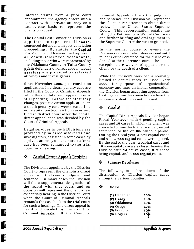interest arising from a prior court appointment, the agency enters into a contract with a private attorney on a case-by-case basis to represent the clients on appeal.

The Capital Post-Conviction Division is appointed to represent all deathsentenced defendants in post-conviction proceedings. By statute, the **Capital** Post-Conviction Division must represent all death -sentenced defendants, including those who were represented by the Oklahoma County or Tulsa County pyblic defenders on direct appeal. Legal services are provided by salaried attorneys and investigators.

Since November **1995,** post-conviction applications in a death penalty case are filed in the Court of Criminal Appeals while the oapital direct appeal case is still pending. Before the statutory changes, post-conviction applications in a death penalty case were treated like non-capital post-conviction cases and filed in district court after the capital direct appeal case was decided by the Court of Criminal Appeals.

Legal services in both Divisions are provided by salaried attorneys and investigators, assisted in some cases by a private attorney under contract after a case has been remanded to the trial court for a hearing.

#### Capital Direct Appeals Division ❖

The Division is appointed by the District Court to represent the client-in a direot appeal from that court's judgment and sentence. In many cases the Division will file a supplemental designation of the record with that court, and on occasion will represent the client at an evidentiary hearing in the District Court when the Court of Criminal Appeals remands the case back to the trial court for such a hearing. The direct appeal is heard and decided by the Court of Criminal **Appeals.** If the Court of

Criminal Appeals affirms the judgment and sentence, the Division will represent the client in his attempt to obtain direct review in the United States Supreme Court. This representation entails the filing of a Petition for a Writ of Certiorari and further briefing and oral argument in the Supreme Court if the writ is granted.

In the normal course of events the Division's representation does not end until relief is either obtained for the client or is denied in the Supreme Court. The usual exceptions are waivers of appeals by the client, or the death of a client.

While the Division's workload is normally limited to oapital cases, in Fisoal Year **2000,** for purposes of organizational economy and inter-divisional cooperation, the Division began accepting appeals from first degree murder convictions where the sentence of death was not imposed.



The Capital Direct Appeals Division began Fiscal Year **2004** with 6 pending capital cases and **15** cases in whioh the client was convicted of murder in the first degree but sentenced to life or **life** without parole. During the fiscal year, **4** new capital cases and **6** new non-oapital cases were opened. By the end of the year, **2** oapital cases and **15** non-capital case were closed, leaving the Division with **14** active cases, **8** of these being capital, and  $6$  non-capital cases.

#### ❖ Statewide Distribution

The following is a breakdown of the distribution of Division capital cases among the various counties:

#### County

| (1) Canadian | 10%             |
|--------------|-----------------|
| $(2)$ Grady  | 10%             |
| (3) Oklahoma | 10%             |
| $(4)$ Osage  | 10%             |
| (5) Pontotoc | 10%             |
| (6) Rogers   | 10 <sub>%</sub> |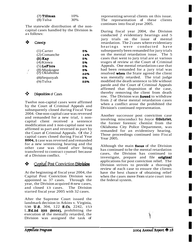| (7) Tillman | 10% |
|-------------|-----|
| (8) Tulsa   | 30% |

The statewide distribution of the noncapital cases handled by the Division is as follows:

❖ County

| $(1)$ Carter                 | 5%  |
|------------------------------|-----|
| $(2)$ Comanche               | 14% |
| $(3)$ Kay                    | 5%  |
| (4) Kiowa                    | 5%  |
| $(5)$ LeFlore                | 5%  |
| (8) Muskogee<br>(7) Oklahoma | 5%  |
|                              | 33% |
| (8)Sequoyah                  | 5%  |
| $(9)$ Tulsa                  | 23% |
|                              |     |

 $\mathbf{\hat{P}}$  Disposition of Cases

Twelve non-capital cases were affirmed by the Court of Criminal Appeals and subsequently closed during Fiscal Year 2004. One non-capital case was reversed and remanded for a new trial, 1 noncapital client received a sentence modification and 1 non-capital oase was affirmed in part and reversed in part by the Court of Criminal Appeals. Of the 2 capital cases closed during Fiscal Year 2004, 1 case was reversed and remanded for a new sentenoing hearing and the other case was closed after being transferred to contract counsel because<br>of a Division conflict.

#### Capital Post Conviction Division ❖

At the beginning of fiscal year 2004, the Capital Post Conviction Division was appointed in 37 cases. Through the year, the Division acquired 8 new cases, and closed 13 cases. The Division started fiscal year 2005 with 32 cases.

After the Supreme Court issued the landmark decision in Atkins v. Virginia, 538 **U.S.** 304, 122 **S.Ct.** 2242, 153  $L.Ed.2d$  335 (2002), prohibiting the execution of the mentally retarded, the Division was assigned the task of

representing several clients on this issue. The representation of these clients continues into fiscal year 2005.

During fiscal year 2004, the Division conducted 2 evidentiary hearings and 5 jury trials on the issue of mental retardation. The 2 cases where evidentiary hearings were conducted have subsequently been remanded for jury trials on the mental retardation issue. The 5 cases that went to jury trial are at various stages of review at the Court of Criminal Appeals. One mental retardation case that had been remanded for a jury trial was resolved **when** the State agreed the client was mentally retarded. The trial judge modified the death sentence to life without parole and the Court of Criminal Appeals affirmed that disposition of the case, thereby removing the client from death row. The Division was **foreed** to withdraw from 2 of these mental retardation cases when a conflict arose the prohibited the Division's continued representation.

Another successor post conviction case involving misconduct by Joyce **Gilchrist**, the former forensic chemist from the Oklahoma City Police Department, was remanded for an evidentisry hearing. Those proceedings continued into Fiscal Year 2005.

Although the main foous of the Division has continued to be the mental retardation cases, the Division has continued to investigate, prepare and file **original** applications for post conviction relief. The Division strives to provide a thorough review of each case to ensure the clients have the best chance of obtaining relief when the cases move From state court into the federal system.

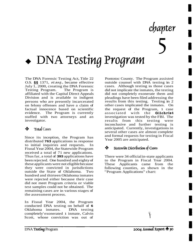# chapter

### • DNA Testing Program

The DNA Forensic Testing Act, Title 22 O.S. **55** 1371, **et.seq.,** became effective July 1, 2000, creating the DNA Forensic Testing Program. affiliated with the Capital Direct Appeals Division and is available to indigent persons who are presently incarcerated on felony offenses and have a claim of factual innocence based on scientific evidence. The Program is currently staffed with two attorneys and an investigator.

#### $\cdot$   $\cdot$  Total Cases

Since its inception, the Program has distributed **763** applications in response to initial inquiries and requests. In Fisoal Year 2004, the Statewide Program received a total of 71 new applications. Thus far, a total of **393** applications have been rejected. One hundred and eighty of these applicants were not eligible because they were convicted in jurisdictions outside the State of Oklahoma. Two hundred and thirteen Oklahoma inmates were rejected either because their case did not meet Program criteria or viable test samples could not be obtained. The remaining cases are in various stages of the assessment process.

In Fisoal Year 2004, the Program conducted DNA testing on behalf of **6**  Oklahoma inmates. DNA testing completely' exonerated 1 inmate, Calvin Scott, whose conviction was out of

Pontotoc County. The Program assisted outside counsel with DNA testing in 2 cases. Although testing in those cases did not implicate the inmates, the testing did not completely exonerate them and pleadings have been filed addressing the results from this testing. Testing in 2 other cases implicated the inmates. On the request of the Program, 1 case<br>associated with the Gilchrist associated investigation was tested by the FBI. The results from this testing were inconclusive and further testing is anticipated. Currently, investigations in several other cases are almost complete and formal requests for testing in Fiscal Year 2005 are anticipated.

#### Statewide Distribution of Cases ❖

There were 34 official in-state applicants to the Program in Fiscal Year 2004. These Applicants came from the following counties, as shown in the "Program Applications" chart: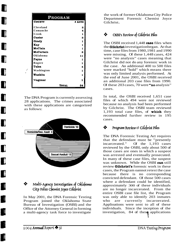|                | PROGRAM |                |
|----------------|---------|----------------|
| <b>COUNTY</b>  |         | # APPS         |
| Cleveland      |         | 2              |
| Comanche       |         | 4              |
| Creek          |         | 1              |
| Custer         |         | 2              |
| Grady          |         | 1              |
| Kay            |         | 1              |
| McClain        |         | 1              |
| McCurtain      |         | $\overline{2}$ |
| Oklahoma       |         | 11             |
| Payne          |         | 1              |
| Rogere         |         | 1              |
| Tulsa          |         | 4              |
| Washington     |         | 1              |
| <b>Washita</b> |         | 1              |
| Wagoner        |         | 1              |
|                | TOTAL   | 34             |

The DNA Program is currently assessing 28 applications. The crimes associated with these applications are categorized as follows:



#### Multi-Agency Investigation of Oklahoma ❖ City Police Chemist Jonce Gilchrist

In May 2001, the DNA Forensic Testing Program joined the Oklahoma State Bureau of Investigation (OSBI) and the Office of the Attorney General in forming a multi-agency task force to investigate

the work of former Oklahoma City Police Department Forensic Chemist Joyce Gilchrist.

#### ❖ OSBI's Review of Gilchrist Files

The OSBI received 1,448 **case** files when the Gilchrist investigation began. At that time, case files from 1980,1981 and 1990 were missing. Of these 1,448 cases, 424 were "no analysis" cases meaning that Gilchrist did not do any forensic work in the case. An additional 400 to 500 files were marked "hold" which means there was only limited analysis performed. At the end of June 2001, the OSBI received an additional 203 case files from 1990. Of these 203 cases, 70 were "no analysis" cases.

In total, the OSBI received 1,651 case files of which 494 were not reviewed because no analysis had been performed by Gilchrist. The OSBI team reviewed 1,193 total case files, of **which** they recommended further review in 195 cases.

#### ❖ **Program Review of Gilchrist Files**

The DNA Forensic Testing Act requires that the defendant must be "presently<br>incarcerated." Of the 1,193 cases Of the  $1,193$  cases reviewed by the OSBI, only about 500 of those cases are ones in which a suspeot was arrested and eventually prosecuted. In many of these case files, the suspeot was unknown. While the OSBI can still review Gilchrist's forensic work in these cases, the Program oannot retest the case because there is no corresponding convicted defendant. Of those 500 cases where a defendant could be identified, approximately 300 of these individuals are no longer incarcerated. From the entire OSBI case file list, the Program was only able to identify 203 inmates who are currently incaroerated. Applioations were sent to all of these individuals. Since the inception of the investigation, 84 of these applications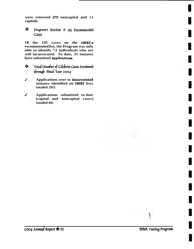**were returned (72 noncapital and 12 capital).** 

**9** Progrants *Reuiew* of **195** *Recommenbeb*  Cases

**Of the 195 cases on the 0SBI's recommended list, the Program was only able to identify 72 individuals who are still incarcerated. To date, 35 inmates have submitted applioations.** 

- Total Number of Gilchrist Cases Reviewed ❖ through Fiscal Year 2004  $\frac{7}{1}$
- **J Applications sent to incarcerated inmates identified on OSBI lists totaled 203.**
- **J Applications submitted to date (capital- and noncapital cases) totaled 88.**

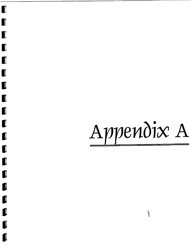## Appendix A

I

B

E

I

B

I

I

f

 $\frac{1}{2}$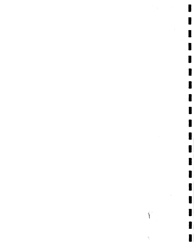$\bar{z}$ 

 $\begin{array}{c} \bullet_3 \\ \bullet_3 \end{array}$ 

ŗ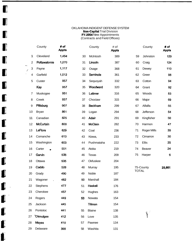#### OKLAHOMA INDIGENT DEFENSE SYSTEM **Non-Capital Trial Division** FY-2004 New Appointments (Contracts and Field Offices)

I

I

|                                | County                   | # of<br><b>Appts</b> |    | County         | # of<br><b>Appts</b> |              | County             | # of<br><b>Appts</b> |
|--------------------------------|--------------------------|----------------------|----|----------------|----------------------|--------------|--------------------|----------------------|
| 1                              | Cleveland                | 1,454                | 30 | McIntosh       | 389                  | 59           | Johnston           | 129                  |
| $\overline{c}$                 | Pottawatomie             | 1,270                | 31 | Lincoln        | 387                  | 60           | Craig              | 124                  |
| ۰.<br>3<br>$\overline{\prime}$ | Payne                    | 1,117                | 32 | Osage          | 368                  | 61           | Dewey              | 110                  |
| $\epsilon$<br>4                | Garfield                 | 1,012                | 33 | Seminole       | 361                  | 62           | Greer              | 98                   |
| 5                              | Custer                   | 957                  | 34 | Sequoyah       | 332                  | 63           | Cotton             | 94                   |
|                                | Kay                      | 957                  | 35 | Woodward       | 320                  | 64           | Grant              | 92                   |
| 7                              | Muskogee                 | 951                  | 36 | Latimer        | 316                  | 65           | Woods              | 83                   |
| 8                              | Creek                    | 937                  | 37 | Choctaw        | 315                  | 66           | Major              | 69                   |
| 9                              | Pittsburg                | 907                  | 38 | Beckham        | 299                  | 67           | Alfalfa            | 55                   |
| 10                             | <b>Bryan</b>             | 861                  | 39 | Logan          | 294                  | 68           | Jefferson          | 54                   |
| 11                             | Canadian                 | 825                  | 40 | Adair          | 291                  | 69           | Kingfisher         | 50                   |
| 12                             | McCurtain                | 800                  | 41 | <b>McClain</b> | 282                  | 70           | Harmon             | 47                   |
| 13                             | LeFlore                  | 629                  | 42 | Coal           | 236                  | 71           | <b>Roger Mills</b> | 39                   |
| 14                             | Comanche                 | 613                  | 43 | Kiowa,         | 233                  | 72           | Cimarron           | 30                   |
| 15                             | Washington               | 603                  | 44 | Pushmataha     | 222                  | 73           | Ellis              | 25                   |
| 16                             | Carter<br>$\overline{ }$ | 551                  | 45 | Atoka          | 219                  | 74           | Beaver             | 24                   |
| 17                             | Garvin                   | 536                  | 46 | Texas          | 209                  | 75           | Harper             | 6                    |
| 18                             | Ottawa                   | 535                  | 47 | Okfuskee       | 204                  |              |                    |                      |
| 19                             | Caddo                    | 528                  | 48 | Murray         | 195                  | <b>TOTAL</b> | 75-County          | 28,661               |
| 20                             | Grady                    | 490                  | 49 | Noble          | 187                  |              |                    |                      |
| 21                             | Wagoner                  | 482                  | 50 | Marshall       | 184                  |              |                    |                      |
| 22                             | Stephens                 | 477                  | 51 | Haskell        | 176                  |              |                    |                      |
| 23                             | Cherokee                 | 457                  | 52 | Hughes         | 163                  |              |                    |                      |
| 24                             | Rogers                   | 449                  | 53 | Nowata         | 154                  |              |                    |                      |
| 25                             | Jackson                  | 445                  |    | Tillman        | 154                  |              |                    |                      |
| 26                             | Pontotoc                 | 441                  | 55 | <b>Blaine</b>  | 138                  |              |                    |                      |
| 27                             | <b>Okmulgee</b>          | 412                  | 56 | Love           | 135                  |              |                    |                      |
| 28                             | <b>Mayes</b>             | 410                  | 57 | Pawnee         | 134                  |              |                    |                      |
| 29                             | Delaware                 | 398                  | 58 | Washita        | 131                  |              |                    |                      |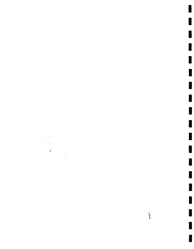$\label{eq:2.1} \mathcal{V}_{N,\mathbf{a}}(\mathbf{a}^{\text{ref}}_{\mathbf{a}})^{T} \mathcal{V} = \mathcal{V}_{N,\mathbf{a}}(\mathbf{a}^{\text{ref}}_{\mathbf{a}})$  $\label{eq:2.1} \begin{split} \mathcal{L}^{2}_{\text{max}}(\mathbf{r})\\ \mathcal{L}^{2}_{\text{max}}(\mathbf{r})\\ \mathcal{L}^{2}_{\text{max}}(\mathbf{r})\\ \mathcal{L}^{2}_{\text{max}}(\mathbf{r})&=\mathcal{L}^{2}_{\text{max}}(\mathbf{r})\mathcal{L}^{2}_{\text{max}}(\mathbf{r})\\ \mathcal{L}^{2}_{\text{max}}(\mathbf{r})&=\mathcal{L}^{2}_{\text{max}}(\mathbf{r})\mathcal{L}^{2}_{\text{max}}(\mathbf{r})\\ \mathcal{L}^{2}_{\text{max}}(\mathbf{r$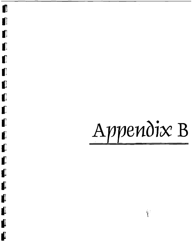## Appendix B

 $\blacksquare$ 

 $\mathbf{r}$ 

I

É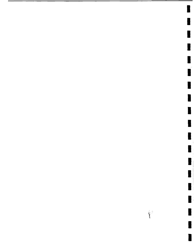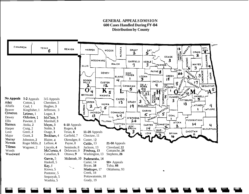#### **GENERAL APPEALS DMSION 600 Cases Handled During FY-04 Distribution by County**